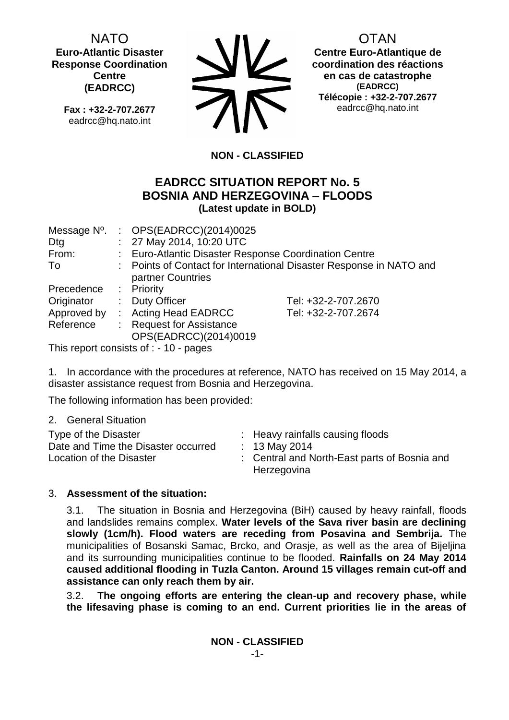NATO **Euro-Atlantic Disaster Response Coordination Centre (EADRCC)**

**Fax : +32-2-707.2677** eadrcc@hq.nato.int



OTAN

**Centre Euro-Atlantique de coordination des réactions en cas de catastrophe (EADRCC) Télécopie : +32-2-707.2677** eadrcc@hq.nato.int

# **NON - CLASSIFIED**

# **EADRCC SITUATION REPORT No. 5 BOSNIA AND HERZEGOVINA – FLOODS (Latest update in BOLD)**

| Message N <sup>o</sup> . | : $OPS(EADRCC)(2014)0025$                                           |                     |
|--------------------------|---------------------------------------------------------------------|---------------------|
| Dtg                      | : 27 May 2014, 10:20 UTC                                            |                     |
| From:                    | : Euro-Atlantic Disaster Response Coordination Centre               |                     |
| To                       | : Points of Contact for International Disaster Response in NATO and |                     |
|                          | partner Countries                                                   |                     |
| Precedence               | : Priority                                                          |                     |
| Originator               | : Duty Officer                                                      | Tel: +32-2-707.2670 |
| Approved by              | : Acting Head EADRCC                                                | Tel: +32-2-707.2674 |
| Reference                | : Request for Assistance                                            |                     |
|                          | OPS(EADRCC)(2014)0019                                               |                     |

This report consists of : - 10 - pages

1. In accordance with the procedures at reference, NATO has received on 15 May 2014, a disaster assistance request from Bosnia and Herzegovina.

The following information has been provided:

2. General Situation

| Type of the Disaster<br>Date and Time the Disaster occurred<br>: 13 May 2014<br>Location of the Disaster<br>Herzegovina | : Heavy rainfalls causing floods<br>: Central and North-East parts of Bosnia and |
|-------------------------------------------------------------------------------------------------------------------------|----------------------------------------------------------------------------------|
|-------------------------------------------------------------------------------------------------------------------------|----------------------------------------------------------------------------------|

## 3. **Assessment of the situation:**

3.1. The situation in Bosnia and Herzegovina (BiH) caused by heavy rainfall, floods and landslides remains complex. **Water levels of the Sava river basin are declining slowly (1cm/h). Flood waters are receding from Posavina and Sembrija.** The municipalities of Bosanski Samac, Brcko, and Orasje, as well as the area of Bijeljina and its surrounding municipalities continue to be flooded. **Rainfalls on 24 May 2014 caused additional flooding in Tuzla Canton. Around 15 villages remain cut-off and assistance can only reach them by air.**

3.2. **The ongoing efforts are entering the clean-up and recovery phase, while the lifesaving phase is coming to an end. Current priorities lie in the areas of**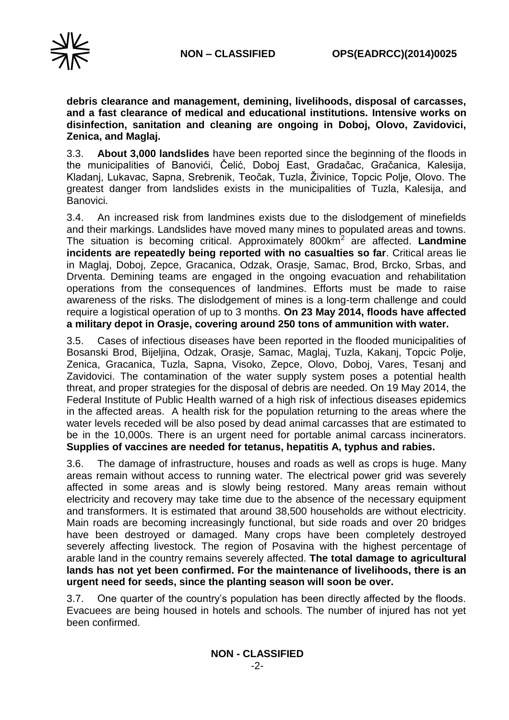

**debris clearance and management, demining, livelihoods, disposal of carcasses, and a fast clearance of medical and educational institutions. Intensive works on disinfection, sanitation and cleaning are ongoing in Doboj, Olovo, Zavidovici, Zenica, and Maglaj.**

3.3. **About 3,000 landslides** have been reported since the beginning of the floods in the municipalities of Banovići, Čelić, Doboj East, Gradačac, Gračanica, Kalesija, Kladanj, Lukavac, Sapna, Srebrenik, Teočak, Tuzla, Živinice, Topcic Polje, Olovo. The greatest danger from landslides exists in the municipalities of Tuzla, Kalesija, and Banovici.

3.4. An increased risk from landmines exists due to the dislodgement of minefields and their markings. Landslides have moved many mines to populated areas and towns. The situation is becoming critical. Approximately 800km<sup>2</sup> are affected. **Landmine incidents are repeatedly being reported with no casualties so far**. Critical areas lie in Maglaj, Doboj, Zepce, Gracanica, Odzak, Orasje, Samac, Brod, Brcko, Srbas, and Drventa. Demining teams are engaged in the ongoing evacuation and rehabilitation operations from the consequences of landmines. Efforts must be made to raise awareness of the risks. The dislodgement of mines is a long-term challenge and could require a logistical operation of up to 3 months. **On 23 May 2014, floods have affected a military depot in Orasje, covering around 250 tons of ammunition with water.**

3.5. Cases of infectious diseases have been reported in the flooded municipalities of Bosanski Brod, Bijeljina, Odzak, Orasje, Samac, Maglaj, Tuzla, Kakanj, Topcic Polje, Zenica, Gracanica, Tuzla, Sapna, Visoko, Zepce, Olovo, Doboj, Vares, Tesanj and Zavidovici. The contamination of the water supply system poses a potential health threat, and proper strategies for the disposal of debris are needed. On 19 May 2014, the Federal Institute of Public Health warned of a high risk of infectious diseases epidemics in the affected areas. A health risk for the population returning to the areas where the water levels receded will be also posed by dead animal carcasses that are estimated to be in the 10,000s. There is an urgent need for portable animal carcass incinerators. **Supplies of vaccines are needed for tetanus, hepatitis A, typhus and rabies.**

3.6. The damage of infrastructure, houses and roads as well as crops is huge. Many areas remain without access to running water. The electrical power grid was severely affected in some areas and is slowly being restored. Many areas remain without electricity and recovery may take time due to the absence of the necessary equipment and transformers. It is estimated that around 38,500 households are without electricity. Main roads are becoming increasingly functional, but side roads and over 20 bridges have been destroyed or damaged. Many crops have been completely destroyed severely affecting livestock. The region of Posavina with the highest percentage of arable land in the country remains severely affected. **The total damage to agricultural lands has not yet been confirmed. For the maintenance of livelihoods, there is an urgent need for seeds, since the planting season will soon be over.**

3.7. One quarter of the country's population has been directly affected by the floods. Evacuees are being housed in hotels and schools. The number of injured has not yet been confirmed.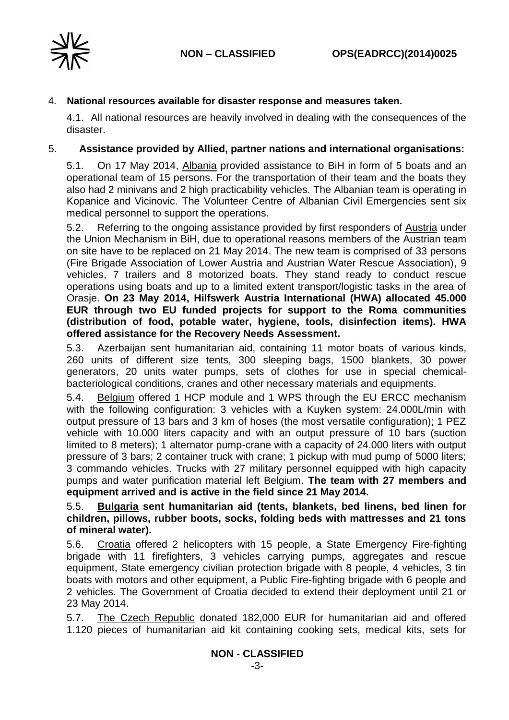

### 4. **National resources available for disaster response and measures taken.**

4.1. All national resources are heavily involved in dealing with the consequences of the disaster.

### 5. **Assistance provided by Allied, partner nations and international organisations:**

5.1. On 17 May 2014, Albania provided assistance to BiH in form of 5 boats and an operational team of 15 persons. For the transportation of their team and the boats they also had 2 minivans and 2 high practicability vehicles. The Albanian team is operating in Kopanice and Vicinovic. The Volunteer Centre of Albanian Civil Emergencies sent six medical personnel to support the operations.

5.2. Referring to the ongoing assistance provided by first responders of Austria under the Union Mechanism in BiH, due to operational reasons members of the Austrian team on site have to be replaced on 21 May 2014. The new team is comprised of 33 persons (Fire Brigade Association of Lower Austria and Austrian Water Rescue Association), 9 vehicles, 7 trailers and 8 motorized boats. They stand ready to conduct rescue operations using boats and up to a limited extent transport/logistic tasks in the area of Orasje. **On 23 May 2014, Hilfswerk Austria International (HWA) allocated 45.000 EUR through two EU funded projects for support to the Roma communities (distribution of food, potable water, hygiene, tools, disinfection items). HWA offered assistance for the Recovery Needs Assessment.**

5.3. Azerbaijan sent humanitarian aid, containing 11 motor boats of various kinds, 260 units of different size tents, 300 sleeping bags, 1500 blankets, 30 power generators, 20 units water pumps, sets of clothes for use in special chemicalbacteriological conditions, cranes and other necessary materials and equipments.

5.4. Belgium offered 1 HCP module and 1 WPS through the EU ERCC mechanism with the following configuration: 3 vehicles with a Kuyken system: 24.000L/min with output pressure of 13 bars and 3 km of hoses (the most versatile configuration); 1 PEZ vehicle with 10.000 liters capacity and with an output pressure of 10 bars (suction limited to 8 meters); 1 alternator pump-crane with a capacity of 24.000 liters with output pressure of 3 bars; 2 container truck with crane; 1 pickup with mud pump of 5000 liters; 3 commando vehicles. Trucks with 27 military personnel equipped with high capacity pumps and water purification material left Belgium. **The team with 27 members and equipment arrived and is active in the field since 21 May 2014.**

### 5.5. **Bulgaria sent humanitarian aid (tents, blankets, bed linens, bed linen for children, pillows, rubber boots, socks, folding beds with mattresses and 21 tons of mineral water).**

5.6. Croatia offered 2 helicopters with 15 people, a State Emergency Fire-fighting brigade with 11 firefighters, 3 vehicles carrying pumps, aggregates and rescue equipment, State emergency civilian protection brigade with 8 people, 4 vehicles, 3 tin boats with motors and other equipment, a Public Fire-fighting brigade with 6 people and 2 vehicles. The Government of Croatia decided to extend their deployment until 21 or 23 May 2014.

5.7. The Czech Republic donated 182,000 EUR for humanitarian aid and offered 1.120 pieces of humanitarian aid kit containing cooking sets, medical kits, sets for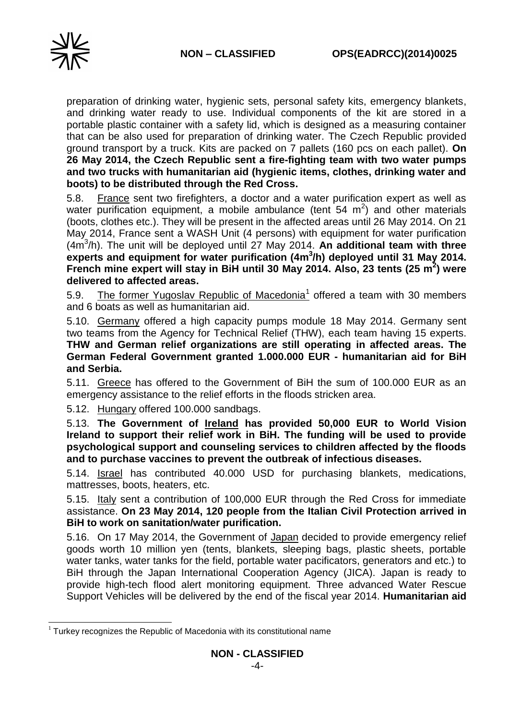

preparation of drinking water, hygienic sets, personal safety kits, emergency blankets, and drinking water ready to use. Individual components of the kit are stored in a portable plastic container with a safety lid, which is designed as a measuring container that can be also used for preparation of drinking water. The Czech Republic provided ground transport by a truck. Kits are packed on 7 pallets (160 pcs on each pallet). **On 26 May 2014, the Czech Republic sent a fire-fighting team with two water pumps and two trucks with humanitarian aid (hygienic items, clothes, drinking water and boots) to be distributed through the Red Cross.**

5.8. France sent two firefighters, a doctor and a water purification expert as well as water purification equipment, a mobile ambulance (tent  $54 \, \text{m}^2$ ) and other materials (boots, clothes etc.). They will be present in the affected areas until 26 May 2014. On 21 May 2014, France sent a WASH Unit (4 persons) with equipment for water purification (4m<sup>3</sup> /h). The unit will be deployed until 27 May 2014. **An additional team with three** experts and equipment for water purification (4m<sup>3</sup>/h) deployed until 31 May 2014. **French mine expert will stay in BiH until 30 May 2014. Also, 23 tents (25 m<sup>2</sup> ) were delivered to affected areas.**

5.9. The former Yugoslav Republic of Macedonia<sup>1</sup> offered a team with 30 members and 6 boats as well as humanitarian aid.

5.10. Germany offered a high capacity pumps module 18 May 2014. Germany sent two teams from the Agency for Technical Relief (THW), each team having 15 experts. **THW and German relief organizations are still operating in affected areas. The German Federal Government granted 1.000.000 EUR - humanitarian aid for BiH and Serbia.**

5.11. Greece has offered to the Government of BiH the sum of 100.000 EUR as an emergency assistance to the relief efforts in the floods stricken area.

5.12. Hungary offered 100.000 sandbags.

5.13. **The Government of Ireland has provided 50,000 EUR to World Vision Ireland to support their relief work in BiH. The funding will be used to provide psychological support and counseling services to children affected by the floods and to purchase vaccines to prevent the outbreak of infectious diseases.**

5.14. Israel has contributed 40.000 USD for purchasing blankets, medications, mattresses, boots, heaters, etc.

5.15. Italy sent a contribution of 100,000 EUR through the Red Cross for immediate assistance. **On 23 May 2014, 120 people from the Italian Civil Protection arrived in BiH to work on sanitation/water purification.**

5.16. On 17 May 2014, the Government of Japan decided to provide emergency relief goods worth 10 million yen (tents, blankets, sleeping bags, plastic sheets, portable water tanks, water tanks for the field, portable water pacificators, generators and etc.) to BiH through the Japan International Cooperation Agency (JICA). Japan is ready to provide high-tech flood alert monitoring equipment. Three advanced Water Rescue Support Vehicles will be delivered by the end of the fiscal year 2014. **Humanitarian aid** 

<sup>-</sup> $1$  Turkey recognizes the Republic of Macedonia with its constitutional name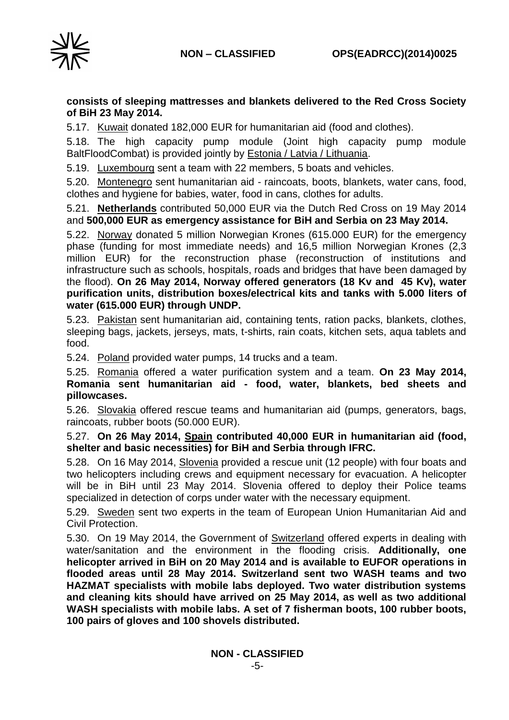

### **consists of sleeping mattresses and blankets delivered to the Red Cross Society of BiH 23 May 2014.**

5.17. Kuwait donated 182,000 EUR for humanitarian aid (food and clothes).

5.18. The high capacity pump module (Joint high capacity pump module BaltFloodCombat) is provided jointly by **Estonia / Latvia / Lithuania.** 

5.19. Luxembourg sent a team with 22 members, 5 boats and vehicles.

5.20. Montenegro sent humanitarian aid - raincoats, boots, blankets, water cans, food, clothes and hygiene for babies, water, food in cans, clothes for adults.

5.21. **Netherlands** contributed 50,000 EUR via the Dutch Red Cross on 19 May 2014 and **500,000 EUR as emergency assistance for BiH and Serbia on 23 May 2014.**

5.22. Norway donated 5 million Norwegian Krones (615.000 EUR) for the emergency phase (funding for most immediate needs) and 16,5 million Norwegian Krones (2,3 million EUR) for the reconstruction phase (reconstruction of institutions and infrastructure such as schools, hospitals, roads and bridges that have been damaged by the flood). **On 26 May 2014, Norway offered generators (18 Kv and 45 Kv), water purification units, distribution boxes/electrical kits and tanks with 5.000 liters of water (615.000 EUR) through UNDP.**

5.23. Pakistan sent humanitarian aid, containing tents, ration packs, blankets, clothes, sleeping bags, jackets, jerseys, mats, t-shirts, rain coats, kitchen sets, aqua tablets and food.

5.24. Poland provided water pumps, 14 trucks and a team.

5.25. Romania offered a water purification system and a team. **On 23 May 2014, Romania sent humanitarian aid - food, water, blankets, bed sheets and pillowcases.**

5.26. Slovakia offered rescue teams and humanitarian aid (pumps, generators, bags, raincoats, rubber boots (50.000 EUR).

5.27. **On 26 May 2014, Spain contributed 40,000 EUR in humanitarian aid (food, shelter and basic necessities) for BiH and Serbia through IFRC.**

5.28. On 16 May 2014, Slovenia provided a rescue unit (12 people) with four boats and two helicopters including crews and equipment necessary for evacuation. A helicopter will be in BiH until 23 May 2014. Slovenia offered to deploy their Police teams specialized in detection of corps under water with the necessary equipment.

5.29. Sweden sent two experts in the team of European Union Humanitarian Aid and Civil Protection.

5.30. On 19 May 2014, the Government of Switzerland offered experts in dealing with water/sanitation and the environment in the flooding crisis. **Additionally, one helicopter arrived in BiH on 20 May 2014 and is available to EUFOR operations in flooded areas until 28 May 2014. Switzerland sent two WASH teams and two HAZMAT specialists with mobile labs deployed. Two water distribution systems and cleaning kits should have arrived on 25 May 2014, as well as two additional WASH specialists with mobile labs. A set of 7 fisherman boots, 100 rubber boots, 100 pairs of gloves and 100 shovels distributed.**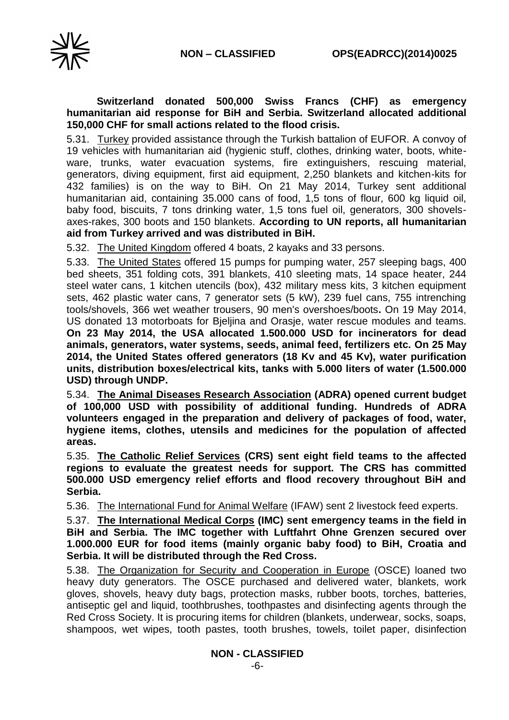

### **Switzerland donated 500,000 Swiss Francs (CHF) as emergency humanitarian aid response for BiH and Serbia. Switzerland allocated additional 150,000 CHF for small actions related to the flood crisis.**

5.31. Turkey provided assistance through the Turkish battalion of EUFOR. A convoy of 19 vehicles with humanitarian aid (hygienic stuff, clothes, drinking water, boots, whiteware, trunks, water evacuation systems, fire extinguishers, rescuing material, generators, diving equipment, first aid equipment, 2,250 blankets and kitchen-kits for 432 families) is on the way to BiH. On 21 May 2014, Turkey sent additional humanitarian aid, containing 35.000 cans of food, 1,5 tons of flour, 600 kg liquid oil, baby food, biscuits, 7 tons drinking water, 1,5 tons fuel oil, generators, 300 shovelsaxes-rakes, 300 boots and 150 blankets. **According to UN reports, all humanitarian aid from Turkey arrived and was distributed in BiH.**

5.32. The United Kingdom offered 4 boats, 2 kayaks and 33 persons.

5.33. The United States offered 15 pumps for pumping water, 257 sleeping bags, 400 bed sheets, 351 folding cots, 391 blankets, 410 sleeting mats, 14 space heater, 244 steel water cans, 1 kitchen utencils (box), 432 military mess kits, 3 kitchen equipment sets, 462 plastic water cans, 7 generator sets (5 kW), 239 fuel cans, 755 intrenching tools/shovels, 366 wet weather trousers, 90 men's overshoes/boots**.** On 19 May 2014, US donated 13 motorboats for Bjeljina and Orasje, water rescue modules and teams. **On 23 May 2014, the USA allocated 1.500.000 USD for incinerators for dead animals, generators, water systems, seeds, animal feed, fertilizers etc. On 25 May 2014, the United States offered generators (18 Kv and 45 Kv), water purification units, distribution boxes/electrical kits, tanks with 5.000 liters of water (1.500.000 USD) through UNDP.**

5.34. **The Animal Diseases Research Association (ADRA) opened current budget of 100,000 USD with possibility of additional funding. Hundreds of ADRA volunteers engaged in the preparation and delivery of packages of food, water, hygiene items, clothes, utensils and medicines for the population of affected areas.**

5.35. **The Catholic Relief Services (CRS) sent eight field teams to the affected regions to evaluate the greatest needs for support. The CRS has committed 500.000 USD emergency relief efforts and flood recovery throughout BiH and Serbia.**

5.36. The International Fund for Animal Welfare (IFAW) sent 2 livestock feed experts.

5.37. **The International Medical Corps (IMC) sent emergency teams in the field in BiH and Serbia. The IMC together with Luftfahrt Ohne Grenzen secured over 1.000.000 EUR for food items (mainly organic baby food) to BiH, Croatia and Serbia. It will be distributed through the Red Cross.**

5.38. The Organization for Security and Cooperation in Europe (OSCE) loaned two heavy duty generators. The OSCE purchased and delivered water, blankets, work gloves, shovels, heavy duty bags, protection masks, rubber boots, torches, batteries, antiseptic gel and liquid, toothbrushes, toothpastes and disinfecting agents through the Red Cross Society. It is procuring items for children (blankets, underwear, socks, soaps, shampoos, wet wipes, tooth pastes, tooth brushes, towels, toilet paper, disinfection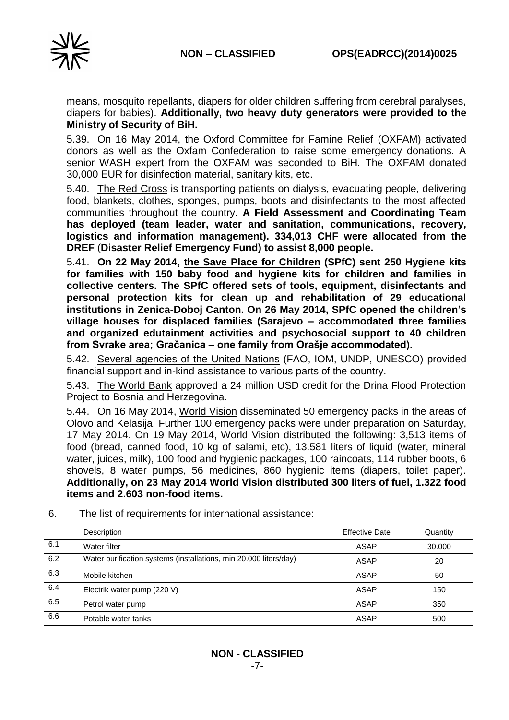

means, mosquito repellants, diapers for older children suffering from cerebral paralyses, diapers for babies). **Additionally, two heavy duty generators were provided to the Ministry of Security of BiH.**

5.39. On 16 May 2014, the Oxford Committee for Famine Relief (OXFAM) activated donors as well as the Oxfam Confederation to raise some emergency donations. A senior WASH expert from the OXFAM was seconded to BiH. The OXFAM donated 30,000 EUR for disinfection material, sanitary kits, etc.

5.40. The Red Cross is transporting patients on dialysis, evacuating people, delivering food, blankets, clothes, sponges, pumps, boots and disinfectants to the most affected communities throughout the country. **A Field Assessment and Coordinating Team has deployed (team leader, water and sanitation, communications, recovery, logistics and information management). 334,013 CHF were allocated from the DREF** (**Disaster Relief Emergency Fund) to assist 8,000 people.**

5.41. **On 22 May 2014, the Save Place for Children (SPfC) sent 250 Hygiene kits for families with 150 baby food and hygiene kits for children and families in collective centers. The SPfC offered sets of tools, equipment, disinfectants and personal protection kits for clean up and rehabilitation of 29 educational institutions in Zenica-Doboj Canton. On 26 May 2014, SPfC opened the children's village houses for displaced families (Sarajevo – accommodated three families and organized edutainment activities and psychosocial support to 40 children from Svrake area; Gračanica – one family from Orašje accommodated).**

5.42. Several agencies of the United Nations (FAO, IOM, UNDP, UNESCO) provided financial support and in-kind assistance to various parts of the country.

5.43. The World Bank approved a 24 million USD credit for the Drina Flood Protection Project to Bosnia and Herzegovina.

5.44. On 16 May 2014, World Vision disseminated 50 emergency packs in the areas of Olovo and Kelasija. Further 100 emergency packs were under preparation on Saturday, 17 May 2014. On 19 May 2014, World Vision distributed the following: 3,513 items of food (bread, canned food, 10 kg of salami, etc), 13.581 liters of liquid (water, mineral water, juices, milk), 100 food and hygienic packages, 100 raincoats, 114 rubber boots, 6 shovels, 8 water pumps, 56 medicines, 860 hygienic items (diapers, toilet paper). **Additionally, on 23 May 2014 World Vision distributed 300 liters of fuel, 1.322 food items and 2.603 non-food items.**

|     | Description                                                       | <b>Effective Date</b> | Quantity |
|-----|-------------------------------------------------------------------|-----------------------|----------|
| 6.1 | Water filter                                                      | ASAP                  | 30,000   |
| 6.2 | Water purification systems (installations, min 20.000 liters/day) | ASAP                  | 20       |
| 6.3 | Mobile kitchen                                                    | <b>ASAP</b>           | 50       |
| 6.4 | Electrik water pump (220 V)                                       | ASAP                  | 150      |
| 6.5 | Petrol water pump                                                 | ASAP                  | 350      |
| 6.6 | Potable water tanks                                               | ASAP                  | 500      |

6. The list of requirements for international assistance: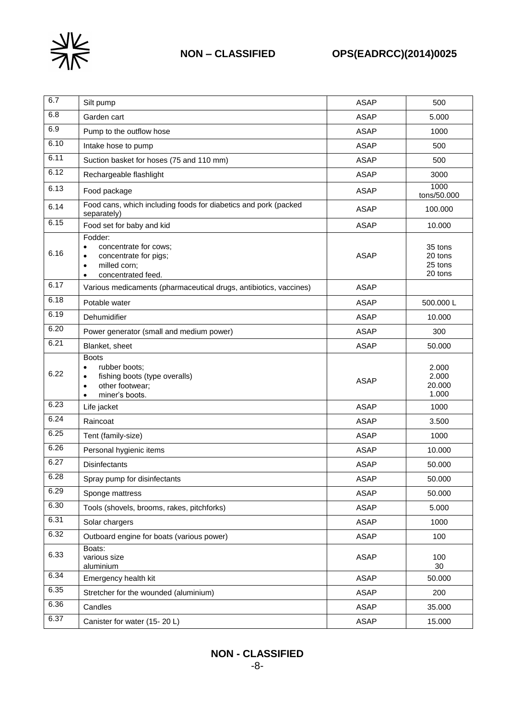

| 6.7  | Silt pump                                                                                                                                               | <b>ASAP</b> | 500                                      |
|------|---------------------------------------------------------------------------------------------------------------------------------------------------------|-------------|------------------------------------------|
| 6.8  | Garden cart                                                                                                                                             | <b>ASAP</b> | 5.000                                    |
| 6.9  | Pump to the outflow hose                                                                                                                                | <b>ASAP</b> | 1000                                     |
| 6.10 | Intake hose to pump                                                                                                                                     | <b>ASAP</b> | 500                                      |
| 6.11 | Suction basket for hoses (75 and 110 mm)                                                                                                                | <b>ASAP</b> | 500                                      |
| 6.12 | Rechargeable flashlight                                                                                                                                 | <b>ASAP</b> | 3000                                     |
| 6.13 | Food package                                                                                                                                            | <b>ASAP</b> | 1000<br>tons/50.000                      |
| 6.14 | Food cans, which including foods for diabetics and pork (packed<br>separately)                                                                          | <b>ASAP</b> | 100.000                                  |
| 6.15 | Food set for baby and kid                                                                                                                               | <b>ASAP</b> | 10.000                                   |
| 6.16 | Fodder:<br>concentrate for cows;<br>$\bullet$<br>concentrate for pigs;<br>$\bullet$<br>milled corn;<br>$\bullet$<br>concentrated feed.<br>$\bullet$     | <b>ASAP</b> | 35 tons<br>20 tons<br>25 tons<br>20 tons |
| 6.17 | Various medicaments (pharmaceutical drugs, antibiotics, vaccines)                                                                                       | <b>ASAP</b> |                                          |
| 6.18 | Potable water                                                                                                                                           | <b>ASAP</b> | 500.000L                                 |
| 6.19 | Dehumidifier                                                                                                                                            | <b>ASAP</b> | 10.000                                   |
| 6.20 | Power generator (small and medium power)                                                                                                                | <b>ASAP</b> | 300                                      |
| 6.21 | Blanket, sheet                                                                                                                                          | <b>ASAP</b> | 50.000                                   |
| 6.22 | <b>Boots</b><br>rubber boots:<br>$\bullet$<br>fishing boots (type overalls)<br>$\bullet$<br>other footwear;<br>$\bullet$<br>miner's boots.<br>$\bullet$ | <b>ASAP</b> | 2.000<br>2.000<br>20.000<br>1.000        |
| 6.23 | Life jacket                                                                                                                                             | <b>ASAP</b> | 1000                                     |
| 6.24 | Raincoat                                                                                                                                                | <b>ASAP</b> | 3.500                                    |
| 6.25 | Tent (family-size)                                                                                                                                      | <b>ASAP</b> | 1000                                     |
| 6.26 | Personal hygienic items                                                                                                                                 | <b>ASAP</b> | 10.000                                   |
| 6.27 | Disinfectants                                                                                                                                           | <b>ASAP</b> | 50.000                                   |
| 6.28 | Spray pump for disinfectants                                                                                                                            | <b>ASAP</b> | 50.000                                   |
| 6.29 | Sponge mattress                                                                                                                                         | <b>ASAP</b> | 50.000                                   |
| 6.30 | Tools (shovels, brooms, rakes, pitchforks)                                                                                                              | <b>ASAP</b> | 5.000                                    |
| 6.31 | Solar chargers                                                                                                                                          | <b>ASAP</b> | 1000                                     |
| 6.32 | Outboard engine for boats (various power)                                                                                                               | <b>ASAP</b> | 100                                      |
| 6.33 | Boats:<br>various size<br>aluminium                                                                                                                     | <b>ASAP</b> | 100<br>30                                |
| 6.34 | Emergency health kit                                                                                                                                    | <b>ASAP</b> | 50.000                                   |
| 6.35 | Stretcher for the wounded (aluminium)                                                                                                                   | <b>ASAP</b> | 200                                      |
| 6.36 | Candles                                                                                                                                                 | <b>ASAP</b> | 35.000                                   |
| 6.37 | Canister for water (15-20 L)                                                                                                                            | <b>ASAP</b> | 15.000                                   |

# **NON - CLASSIFIED**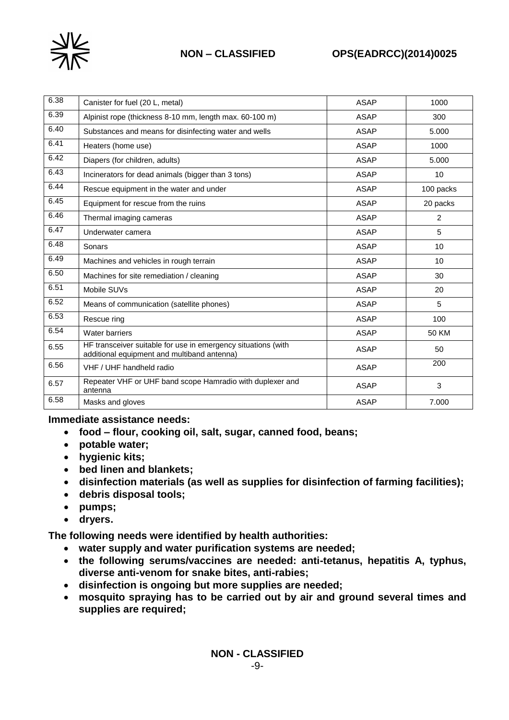

# **NON – CLASSIFIED OPS(EADRCC)(2014)0025**

| 6.38 | Canister for fuel (20 L, metal)                                                                              | <b>ASAP</b> | 1000      |
|------|--------------------------------------------------------------------------------------------------------------|-------------|-----------|
| 6.39 | Alpinist rope (thickness 8-10 mm, length max. 60-100 m)                                                      | <b>ASAP</b> | 300       |
| 6.40 | Substances and means for disinfecting water and wells                                                        | <b>ASAP</b> | 5.000     |
| 6.41 | Heaters (home use)                                                                                           | <b>ASAP</b> | 1000      |
| 6.42 | Diapers (for children, adults)                                                                               | <b>ASAP</b> | 5.000     |
| 6.43 | Incinerators for dead animals (bigger than 3 tons)                                                           | <b>ASAP</b> | 10        |
| 6.44 | Rescue equipment in the water and under                                                                      | <b>ASAP</b> | 100 packs |
| 6.45 | Equipment for rescue from the ruins                                                                          | ASAP        | 20 packs  |
| 6.46 | Thermal imaging cameras                                                                                      | <b>ASAP</b> | 2         |
| 6.47 | Underwater camera                                                                                            | <b>ASAP</b> | 5         |
| 6.48 | Sonars                                                                                                       | <b>ASAP</b> | 10        |
| 6.49 | Machines and vehicles in rough terrain                                                                       | <b>ASAP</b> | 10        |
| 6.50 | Machines for site remediation / cleaning                                                                     | <b>ASAP</b> | 30        |
| 6.51 | Mobile SUVs                                                                                                  | <b>ASAP</b> | 20        |
| 6.52 | Means of communication (satellite phones)                                                                    | <b>ASAP</b> | 5         |
| 6.53 | Rescue ring                                                                                                  | <b>ASAP</b> | 100       |
| 6.54 | Water barriers                                                                                               | <b>ASAP</b> | 50 KM     |
| 6.55 | HF transceiver suitable for use in emergency situations (with<br>additional equipment and multiband antenna) | ASAP        | 50        |
| 6.56 | VHF / UHF handheld radio                                                                                     | <b>ASAP</b> | 200       |
| 6.57 | Repeater VHF or UHF band scope Hamradio with duplexer and<br>antenna                                         | <b>ASAP</b> | 3         |
| 6.58 | Masks and gloves                                                                                             | <b>ASAP</b> | 7.000     |

### **Immediate assistance needs:**

- **food – flour, cooking oil, salt, sugar, canned food, beans;**
- **potable water;**
- **hygienic kits;**
- **bed linen and blankets;**
- **disinfection materials (as well as supplies for disinfection of farming facilities);**
- **debris disposal tools;**
- **pumps;**
- **dryers.**

**The following needs were identified by health authorities:**

- **water supply and water purification systems are needed;**
- **the following serums/vaccines are needed: anti-tetanus, hepatitis A, typhus, diverse anti-venom for snake bites, anti-rabies;**
- **disinfection is ongoing but more supplies are needed;**
- **mosquito spraying has to be carried out by air and ground several times and supplies are required;**